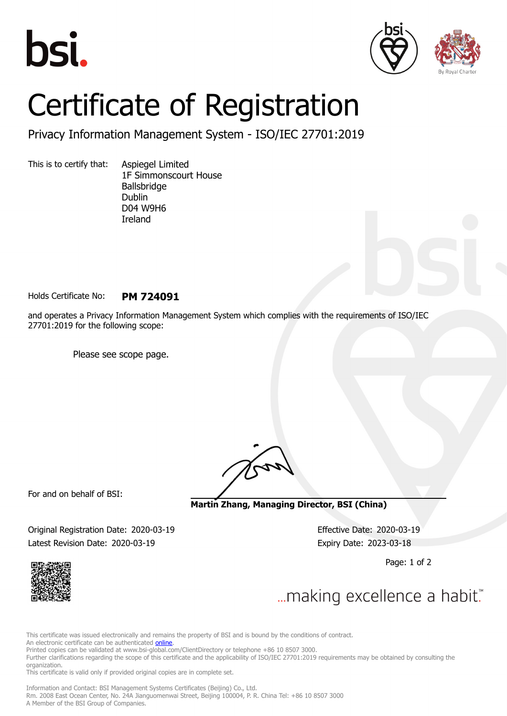





## Certificate of Registration

Privacy Information Management System - ISO/IEC 27701:2019

This is to certify that: Aspiegel Limited

1F Simmonscourt House Ballsbridge Dublin D04 W9H6 Ireland

Holds Certificate No: **PM 724091**

and operates a Privacy Information Management System which complies with the requirements of ISO/IEC 27701:2019 for the following scope:

Please see scope page.

For and on behalf of BSI:

**Martin Zhang, Managing Director, BSI (China)**

Original Registration Date: 2020-03-19 Effective Date: 2020-03-19 Latest Revision Date: 2020-03-19 Expiry Date: 2023-03-18

Page: 1 of 2



... making excellence a habit."

This certificate was issued electronically and remains the property of BSI and is bound by the conditions of contract.

An electronic certificate can be authenticated **[online](https://pgplus.bsigroup.com/CertificateValidation/CertificateValidator.aspx?CertificateNumber=PM+724091&ReIssueDate=19%2f03%2f2020&Template=cnen)**.

Printed copies can be validated at www.bsi-global.com/ClientDirectory or telephone +86 10 8507 3000.

Further clarifications regarding the scope of this certificate and the applicability of ISO/IEC 27701:2019 requirements may be obtained by consulting the organization.

This certificate is valid only if provided original copies are in complete set.

Information and Contact: BSI Management Systems Certificates (Beijing) Co., Ltd. Rm. 2008 East Ocean Center, No. 24A Jianguomenwai Street, Beijing 100004, P. R. China Tel: +86 10 8507 3000 A Member of the BSI Group of Companies.